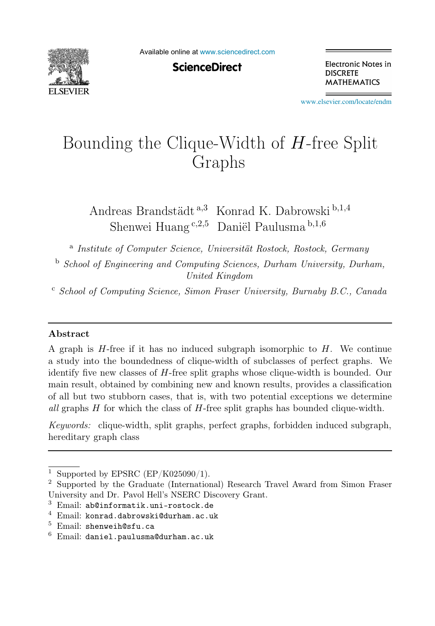

Available online at [www.sciencedirect.com](http://www.sciencedirect.com)

**ScienceDirect** 

Electronic Notes in **DISCRETE MATHEMATICS** 

[www.elsevier.com/locate/endm](http://www.elsevier.com/locate/endm)

# Bounding the Clique-Width of H-free Split Graphs

Andreas Brandstädt <sup>a</sup>,<sup>3</sup> Konrad K. Dabrowski <sup>b</sup>,1,<sup>4</sup> Shenwei Huang  $c,2,5$  Daniël Paulusma  $b,1,6$ 

<sup>a</sup> Institute of Computer Science, Universität Rostock, Rostock, Germany

<sup>b</sup> School of Engineering and Computing Sciences, Durham University, Durham, United Kingdom

<sup>c</sup> School of Computing Science, Simon Fraser University, Burnaby B.C., Canada

#### Abstract

A graph is  $H$ -free if it has no induced subgraph isomorphic to  $H$ . We continue a study into the boundedness of clique-width of subclasses of perfect graphs. We identify five new classes of H-free split graphs whose clique-width is bounded. Our main result, obtained by combining new and known results, provides a classification of all but two stubborn cases, that is, with two potential exceptions we determine all graphs  $H$  for which the class of  $H$ -free split graphs has bounded clique-width.

Keywords: clique-width, split graphs, perfect graphs, forbidden induced subgraph, hereditary graph class

<sup>&</sup>lt;sup>1</sup> Supported by EPSRC (EP/K025090/1).<br><sup>2</sup> Supported by the Graduate (International) Research Travel Award from Simon Fraser University and Dr. Pavol Hell's NSERC Discovery Grant.

<sup>3</sup> Email: ab@informatik.uni-rostock.de

 $4$  Email: konrad.dabrowski@durham.ac.uk

 $5$  Email: shenweih@sfu.ca

 $6$  Email: daniel.paulusma@durham.ac.uk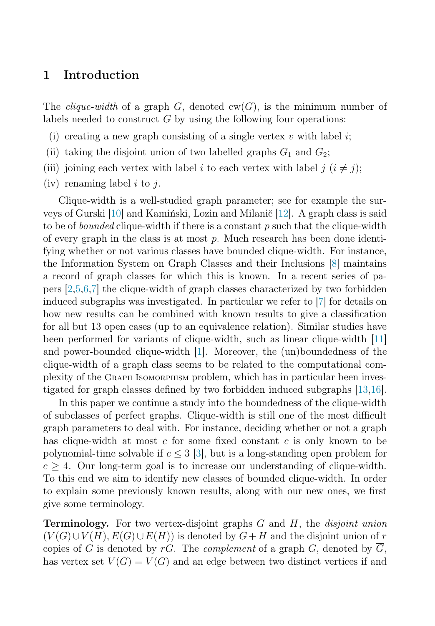# 1 Introduction

The *clique-width* of a graph  $G$ , denoted  $cw(G)$ , is the minimum number of labels needed to construct  $G$  by using the following four operations:

- (i) creating a new graph consisting of a single vertex  $v$  with label  $i$ ;
- (ii) taking the disjoint union of two labelled graphs  $G_1$  and  $G_2$ ;
- (iii) joining each vertex with label i to each vertex with label  $j$  ( $i \neq j$ );
- (iv) renaming label  $i$  to  $j$ .

Clique-width is a well-studied graph parameter; see for example the surveys of Gurski [\[10\]](#page-6-0) and Kamiński, Lozin and Milanič [\[12\]](#page-6-1). A graph class is said to be of *bounded* clique-width if there is a constant p such that the clique-width of every graph in the class is at most  $p$ . Much research has been done identifying whether or not various classes have bounded clique-width. For instance, the Information System on Graph Classes and their Inclusions [\[8\]](#page-6-2) maintains a record of graph classes for which this is known. In a recent series of papers [\[2](#page-5-0)[,5,](#page-6-3)[6](#page-6-4)[,7\]](#page-6-5) the clique-width of graph classes characterized by two forbidden induced subgraphs was investigated. In particular we refer to [\[7\]](#page-6-5) for details on how new results can be combined with known results to give a classification for all but 13 open cases (up to an equivalence relation). Similar studies have been performed for variants of clique-width, such as linear clique-width [\[11\]](#page-6-6) and power-bounded clique-width [\[1\]](#page-5-1). Moreover, the (un)boundedness of the clique-width of a graph class seems to be related to the computational complexity of the Graph Isomorphism problem, which has in particular been investigated for graph classes defined by two forbidden induced subgraphs [\[13,](#page-6-7)[16\]](#page-6-8).

In this paper we continue a study into the boundedness of the clique-width of subclasses of perfect graphs. Clique-width is still one of the most difficult graph parameters to deal with. For instance, deciding whether or not a graph has clique-width at most c for some fixed constant c is only known to be polynomial-time solvable if  $c \leq 3$  [\[3\]](#page-6-9), but is a long-standing open problem for  $c \geq 4$ . Our long-term goal is to increase our understanding of clique-width. To this end we aim to identify new classes of bounded clique-width. In order to explain some previously known results, along with our new ones, we first give some terminology.

Terminology. For two vertex-disjoint graphs G and H, the *disjoint union*  $(V(G) \cup V(H), E(G) \cup E(H))$  is denoted by  $G + H$  and the disjoint union of r copies of G is denoted by  $rG$ . The *complement* of a graph  $G$ , denoted by  $G$ , has vertex set  $V(\overline{G}) = V(G)$  and an edge between two distinct vertices if and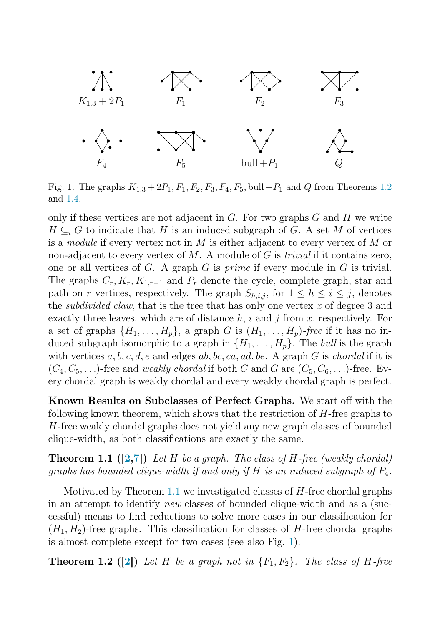

<span id="page-2-2"></span>Fig. 1. The graphs  $K_{1,3} + 2P_1, F_1, F_2, F_3, F_4, F_5$ , bull  $+P_1$  and Q from Theorems [1.2](#page-2-0) and [1.4.](#page-4-0)

only if these vertices are not adjacent in  $G$ . For two graphs  $G$  and  $H$  we write  $H \subseteq_i G$  to indicate that H is an induced subgraph of G. A set M of vertices is a *module* if every vertex not in M is either adjacent to every vertex of M or non-adjacent to every vertex of M. A module of G is *trivial* if it contains zero, one or all vertices of G. A graph G is *prime* if every module in G is trivial. The graphs  $C_r, K_r, K_{1,r-1}$  and  $P_r$  denote the cycle, complete graph, star and path on r vertices, respectively. The graph  $S_{h,i,j}$ , for  $1 \leq h \leq i \leq j$ , denotes the *subdivided claw*, that is the tree that has only one vertex  $x$  of degree 3 and exactly three leaves, which are of distance  $h, i$  and j from x, respectively. For a set of graphs  $\{H_1, \ldots, H_p\}$ , a graph G is  $(H_1, \ldots, H_p)$ -free if it has no induced subgraph isomorphic to a graph in  $\{H_1, \ldots, H_p\}$ . The *bull* is the graph with vertices a, b, c, d, e and edges ab, bc, ca, ad, be. A graph G is *chordal* if it is  $(C_4, C_5, \ldots)$ -free and *weakly chordal* if both G and  $\overline{G}$  are  $(C_5, C_6, \ldots)$ -free. Every chordal graph is weakly chordal and every weakly chordal graph is perfect.

<span id="page-2-1"></span>Known Results on Subclasses of Perfect Graphs. We start off with the following known theorem, which shows that the restriction of  $H$ -free graphs to H-free weakly chordal graphs does not yield any new graph classes of bounded clique-width, as both classifications are exactly the same.

Theorem 1.1 ([\[2,](#page-5-0)[7\]](#page-6-5)) *Let* H *be a graph. The class of* H*-free (weakly chordal) graphs has bounded clique-width if and only if* H *is an induced subgraph of* P4*.*

<span id="page-2-0"></span>Motivated by Theorem [1.1](#page-2-1) we investigated classes of H-free chordal graphs in an attempt to identify *new* classes of bounded clique-width and as a (successful) means to find reductions to solve more cases in our classification for  $(H_1, H_2)$ -free graphs. This classification for classes of H-free chordal graphs is almost complete except for two cases (see also Fig. [1\)](#page-2-2).

**Theorem 1.2** ([\[2\]](#page-5-0)) Let H be a graph not in  ${F_1, F_2}$ . The class of H-free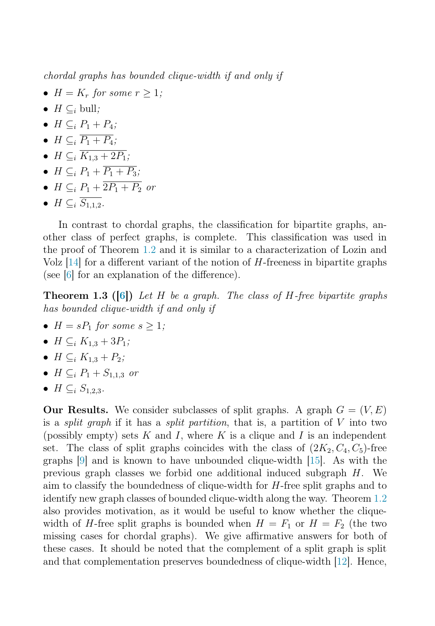*chordal graphs has bounded clique-width if and only if*

- $H = K_r$  *for some*  $r \geq 1$ *;*
- $H \subset_i$  bull*;*
- $H \subset_i P_1 + P_4$ ;
- $H \subset_i \overline{P_1 + P_4}$ ;
- $H \subset_i \overline{K_{1,3} + 2P_1}$ ;
- $H \subseteq_i P_1 + \overline{P_1 + P_3}$ ;
- $H \subset_i P_1 + \overline{2P_1 + P_2}$  *or*
- $H \subseteq_i \overline{S_{1,1,2}}$ .

In contrast to chordal graphs, the classification for bipartite graphs, another class of perfect graphs, is complete. This classification was used in the proof of Theorem [1.2](#page-2-0) and it is similar to a characterization of Lozin and Volz  $[14]$  for a different variant of the notion of H-freeness in bipartite graphs (see [\[6\]](#page-6-4) for an explanation of the difference).

Theorem 1.3 ([\[6\]](#page-6-4)) *Let* H *be a graph. The class of* H*-free bipartite graphs has bounded clique-width if and only if*

- $H = sP_1$  *for some*  $s > 1$ ;
- $H \subset_i K_{1,3} + 3P_1$ ;
- $H \subset_i K_{1,3} + P_2$ ;
- $H \subseteq_i P_1 + S_{1,1,3}$  *or*
- $H \subset_i S_{1,2,3}$ *.*

**Our Results.** We consider subclasses of split graphs. A graph  $G = (V, E)$ is a *split graph* if it has a *split partition*, that is, a partition of V into two (possibly empty) sets K and I, where K is a clique and I is an independent set. The class of split graphs coincides with the class of  $(2K_2, C_4, C_5)$ -free graphs [\[9\]](#page-6-11) and is known to have unbounded clique-width [\[15\]](#page-6-12). As with the previous graph classes we forbid one additional induced subgraph  $H$ . We aim to classify the boundedness of clique-width for H-free split graphs and to identify new graph classes of bounded clique-width along the way. Theorem [1.2](#page-2-0) also provides motivation, as it would be useful to know whether the cliquewidth of H-free split graphs is bounded when  $H = F_1$  or  $H = F_2$  (the two missing cases for chordal graphs). We give affirmative answers for both of these cases. It should be noted that the complement of a split graph is split and that complementation preserves boundedness of clique-width [\[12\]](#page-6-1). Hence,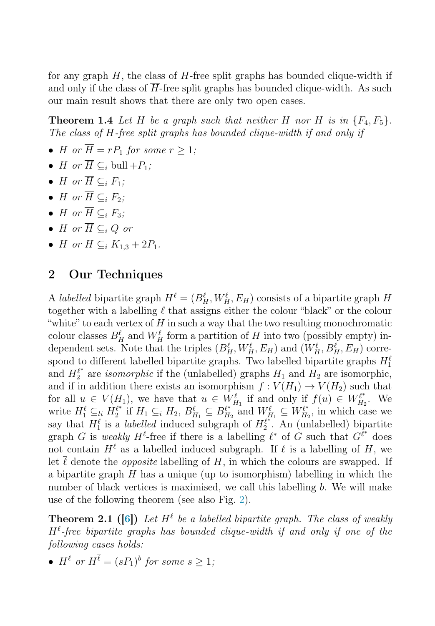<span id="page-4-0"></span>for any graph  $H$ , the class of  $H$ -free split graphs has bounded clique-width if and only if the class of  $H$ -free split graphs has bounded clique-width. As such our main result shows that there are only two open cases.

**Theorem 1.4** Let H be a graph such that neither H nor  $\overline{H}$  is in  $\{F_4, F_5\}$ . *The class of* H*-free split graphs has bounded clique-width if and only if*

- H or  $\overline{H} = rP_1$  for some  $r > 1$ ;
- H or  $\overline{H} \subset_i$  bull  $+P_1$ ;
- H or  $\overline{H} \subset_i F_1$ ;
- H or  $\overline{H} \subset_i F_2$ ;
- H or  $\overline{H} \subset F_3$ *;*
- H or  $\overline{H} \subset_i Q$  or
- *H or*  $\overline{H} \subseteq_i K_{1,3} + 2P_1$ *.*

## 2 Our Techniques

A *labelled* bipartite graph  $H^{\ell} = (B_H^{\ell}, W_H^{\ell}, E_H)$  consists of a bipartite graph H together with a labelling  $\ell$  that assigns either the colour "black" or the colour "white" to each vertex of  $H$  in such a way that the two resulting monochromatic colour classes  $B_H^{\ell}$  and  $W_H^{\ell}$  form a partition of H into two (possibly empty) independent sets. Note that the triples  $(B_H^{\ell}, W_H^{\ell}, E_H)$  and  $(W_H^{\ell}, B_H^{\ell}, E_H)$  correspond to different labelled bipartite graphs. Two labelled bipartite graphs  $H_1^{\ell}$ and  $H_2^{\ell^*}$  are *isomorphic* if the (unlabelled) graphs  $H_1$  and  $H_2$  are isomorphic, and if in addition there exists an isomorphism  $f: V(H_1) \to V(H_2)$  such that for all  $u \in V(H_1)$ , we have that  $u \in W_{H_1}^{\ell}$  if and only if  $f(u) \in W_{H_2}^{\ell^*}$ . We write  $H_1^{\ell} \subseteq_{li} H_2^{\ell^*}$  if  $H_1 \subseteq_{i} H_2$ ,  $B_{H_1}^{\ell} \subseteq B_{H_2}^{\ell^*}$  and  $W_{H_1}^{\ell} \subseteq W_{H_2}^{\ell^*}$ , in which case we say that  $H_1^{\ell}$  is a *labelled* induced subgraph of  $H_2^{\ell^{*+1}}$ . An (unlabelled) bipartite graph G is *weakly*  $H^{\ell}$ -free if there is a labelling  $\ell^*$  of G such that  $G^{\ell^*}$  does not contain  $H^{\ell}$  as a labelled induced subgraph. If  $\ell$  is a labelling of H, we let  $\ell$  denote the *opposite* labelling of H, in which the colours are swapped. If a bipartite graph  $H$  has a unique (up to isomorphism) labelling in which the number of black vertices is maximised, we call this labelling b. We will make use of the following theorem (see also Fig. [2\)](#page-5-2).

<span id="page-4-1"></span>**Theorem 2.1** ([\[6\]](#page-6-4)) Let  $H^{\ell}$  be a labelled bipartite graph. The class of weakly  $H^{\ell}$ -free bipartite graphs has bounded clique-width if and only if one of the *following cases holds:*

•  $H^{\ell}$  or  $H^{\overline{\ell}} = (sP_1)^b$  for some  $s > 1$ ;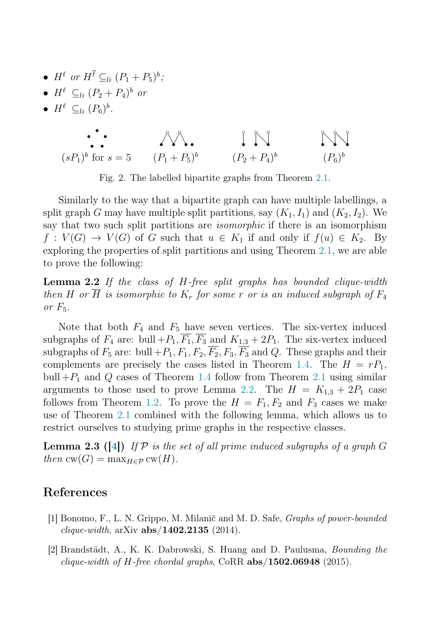- $H^{\ell}$  or  $H^{\ell} \subseteq_{li} (P_1 + P_5)^{b}$ ;
- $H^{\ell} \subset_{li} (P_2 + P_4)^{b}$  or
- $H^{\ell} \subseteq_{li} (P_6)^b$ .



<span id="page-5-3"></span><span id="page-5-2"></span>Fig. 2. The labelled bipartite graphs from Theorem [2.1.](#page-4-1)

Similarly to the way that a bipartite graph can have multiple labellings, a split graph G may have multiple split partitions, say  $(K_1, I_1)$  and  $(K_2, I_2)$ . We say that two such split partitions are *isomorphic* if there is an isomorphism  $f: V(G) \to V(G)$  of G such that  $u \in K_1$  if and only if  $f(u) \in K_2$ . By exploring the properties of split partitions and using Theorem [2.1,](#page-4-1) we are able to prove the following:

Lemma 2.2 *If the class of* H*-free split graphs has bounded clique-width then* H or  $\overline{H}$  *is isomorphic to*  $K_r$  *for some* r *or is an induced subgraph of*  $F_4$ *or* F5*.*

Note that both  $F_4$  and  $F_5$  have seven vertices. The six-vertex induced subgraphs of  $F_4$  are: bull  $+P_1$ ,  $\overline{F_1}$ ,  $\overline{F_3}$  and  $K_{1,3} + 2P_1$ . The six-vertex induced subgraphs of  $F_5$  are: bull  $+P_1, F_1, F_2, \overline{F_2}, F_3, \overline{F_3}$  and Q. These graphs and their complements are precisely the cases listed in Theorem [1.4.](#page-4-0) The  $H = rP_1$ , bull  $+P_1$  and Q cases of Theorem [1.4](#page-4-0) follow from Theorem [2.1](#page-4-1) using similar arguments to those used to prove Lemma [2.2.](#page-5-3) The  $H = K_{1,3} + 2P_1$  case follows from Theorem [1.2.](#page-2-0) To prove the  $H = F_1, F_2$  and  $F_3$  cases we make use of Theorem [2.1](#page-4-1) combined with the following lemma, which allows us to restrict ourselves to studying prime graphs in the respective classes.

<span id="page-5-1"></span>Lemma 2.3 ([\[4\]](#page-6-13)) *If* P *is the set of all prime induced subgraphs of a graph* G  $then \operatorname{cw}(G) = \max_{H \in \mathcal{P}} \operatorname{cw}(H).$ 

## <span id="page-5-0"></span>References

- [1] Bonomo, F., L. N. Grippo, M. Milanič and M. D. Safe, Graphs of power-bounded *clique-width*,  $arXiv$   $abs/1402.2135$  (2014).
- [2] Brandstädt, A., K. K. Dabrowski, S. Huang and D. Paulusma, Bounding the *clique-width of H-free chordal graphs,* CoRR  $abs/1502.06948$  (2015).